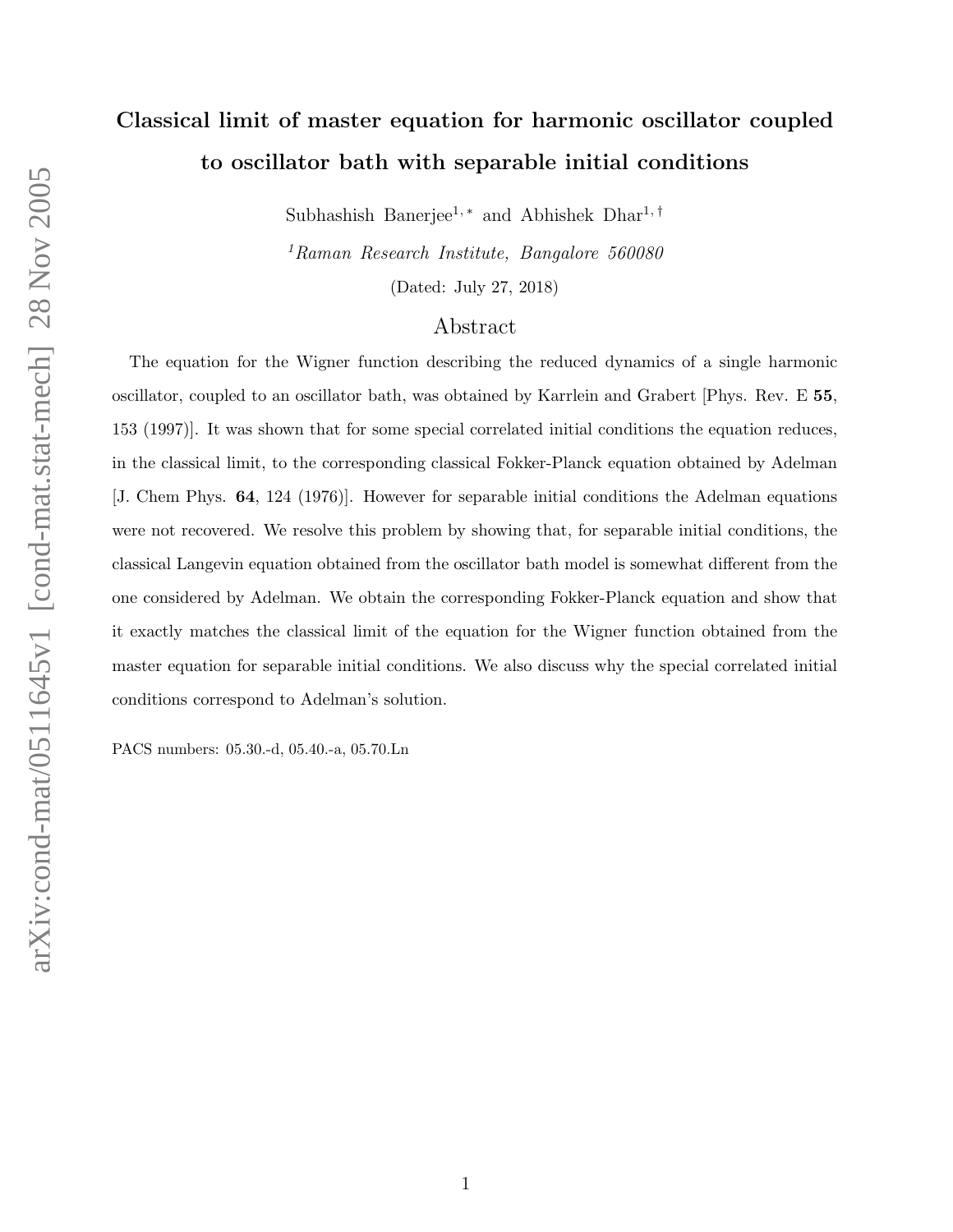# Classical limit of master equation for harmonic oscillator coupled to oscillator bath with separable initial conditions

Subhashish Banerjee<sup>1,\*</sup> and Abhishek Dhar<sup>1,†</sup>

<sup>1</sup>Raman Research Institute, Bangalore 560080

(Dated: July 27, 2018)

### Abstract

The equation for the Wigner function describing the reduced dynamics of a single harmonic oscillator, coupled to an oscillator bath, was obtained by Karrlein and Grabert [Phys. Rev. E 55, 153 (1997)]. It was shown that for some special correlated initial conditions the equation reduces, in the classical limit, to the corresponding classical Fokker-Planck equation obtained by Adelman [J. Chem Phys. 64, 124 (1976)]. However for separable initial conditions the Adelman equations were not recovered. We resolve this problem by showing that, for separable initial conditions, the classical Langevin equation obtained from the oscillator bath model is somewhat different from the one considered by Adelman. We obtain the corresponding Fokker-Planck equation and show that it exactly matches the classical limit of the equation for the Wigner function obtained from the master equation for separable initial conditions. We also discuss why the special correlated initial conditions correspond to Adelman's solution.

PACS numbers: 05.30.-d, 05.40.-a, 05.70.Ln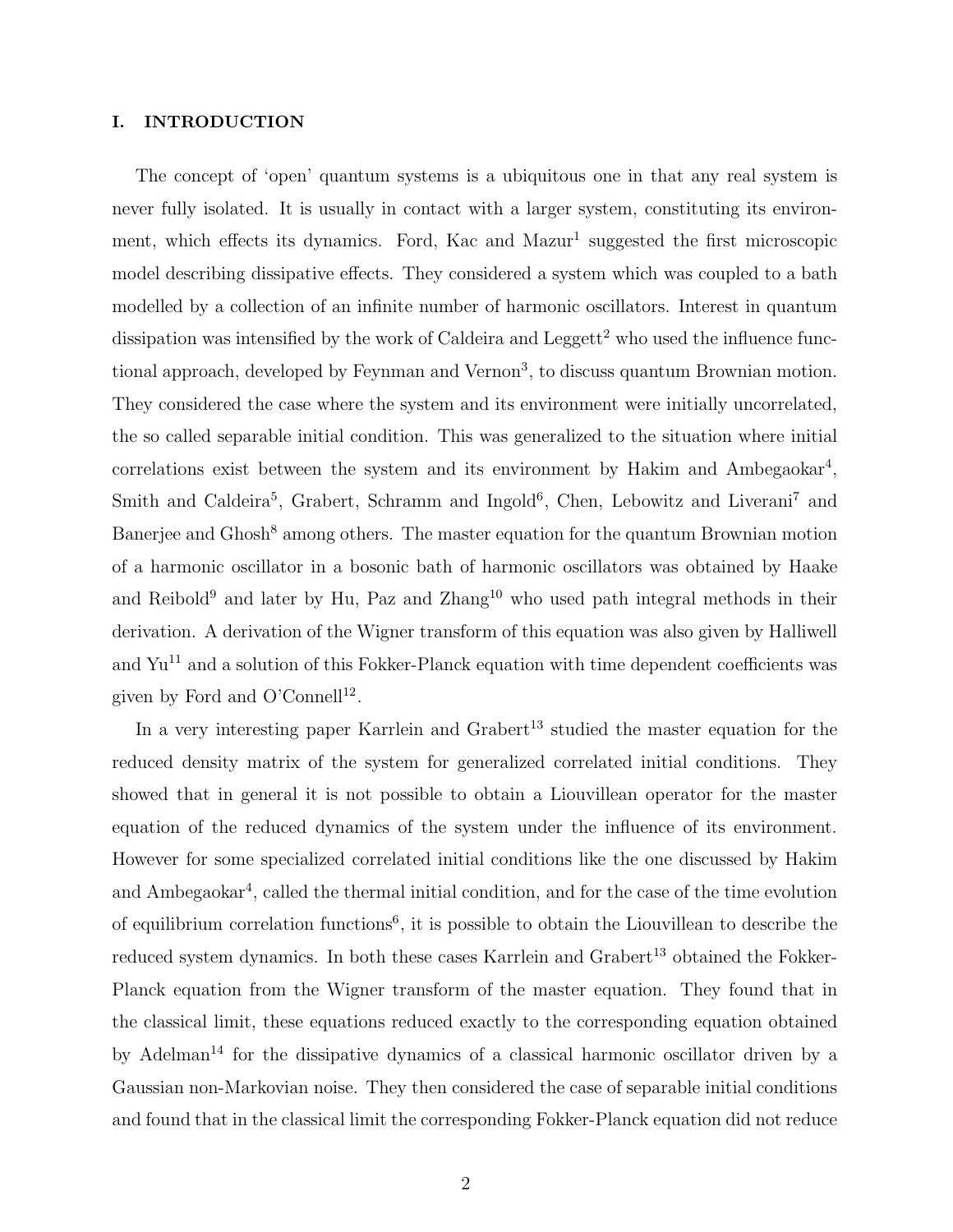#### I. INTRODUCTION

The concept of 'open' quantum systems is a ubiquitous one in that any real system is never fully isolated. It is usually in contact with a larger system, constituting its environment, which effects its dynamics. Ford, Kac and Mazur<sup>1</sup> suggested the first microscopic model describing dissipative effects. They considered a system which was coupled to a bath modelled by a collection of an infinite number of harmonic oscillators. Interest in quantum dissipation was intensified by the work of Caldeira and Leggett<sup>2</sup> who used the influence functional approach, developed by Feynman and Vernon<sup>3</sup>, to discuss quantum Brownian motion. They considered the case where the system and its environment were initially uncorrelated, the so called separable initial condition. This was generalized to the situation where initial correlations exist between the system and its environment by Hakim and Ambegaokar<sup>4</sup>, Smith and Caldeira<sup>5</sup>, Grabert, Schramm and Ingold<sup>6</sup>, Chen, Lebowitz and Liverani<sup>7</sup> and Banerjee and Ghosh<sup>8</sup> among others. The master equation for the quantum Brownian motion of a harmonic oscillator in a bosonic bath of harmonic oscillators was obtained by Haake and Reibold<sup>9</sup> and later by Hu, Paz and  $\text{Zhang}^{10}$  who used path integral methods in their derivation. A derivation of the Wigner transform of this equation was also given by Halliwell and  $Yu^{11}$  and a solution of this Fokker-Planck equation with time dependent coefficients was given by Ford and O'Connell<sup>12</sup>.

In a very interesting paper Karrlein and  $G$ rabert<sup>13</sup> studied the master equation for the reduced density matrix of the system for generalized correlated initial conditions. They showed that in general it is not possible to obtain a Liouvillean operator for the master equation of the reduced dynamics of the system under the influence of its environment. However for some specialized correlated initial conditions like the one discussed by Hakim and Ambegaokar<sup>4</sup>, called the thermal initial condition, and for the case of the time evolution of equilibrium correlation functions<sup>6</sup>, it is possible to obtain the Liouvillean to describe the reduced system dynamics. In both these cases Karrlein and Grabert<sup>13</sup> obtained the Fokker-Planck equation from the Wigner transform of the master equation. They found that in the classical limit, these equations reduced exactly to the corresponding equation obtained by Adelman<sup>14</sup> for the dissipative dynamics of a classical harmonic oscillator driven by a Gaussian non-Markovian noise. They then considered the case of separable initial conditions and found that in the classical limit the corresponding Fokker-Planck equation did not reduce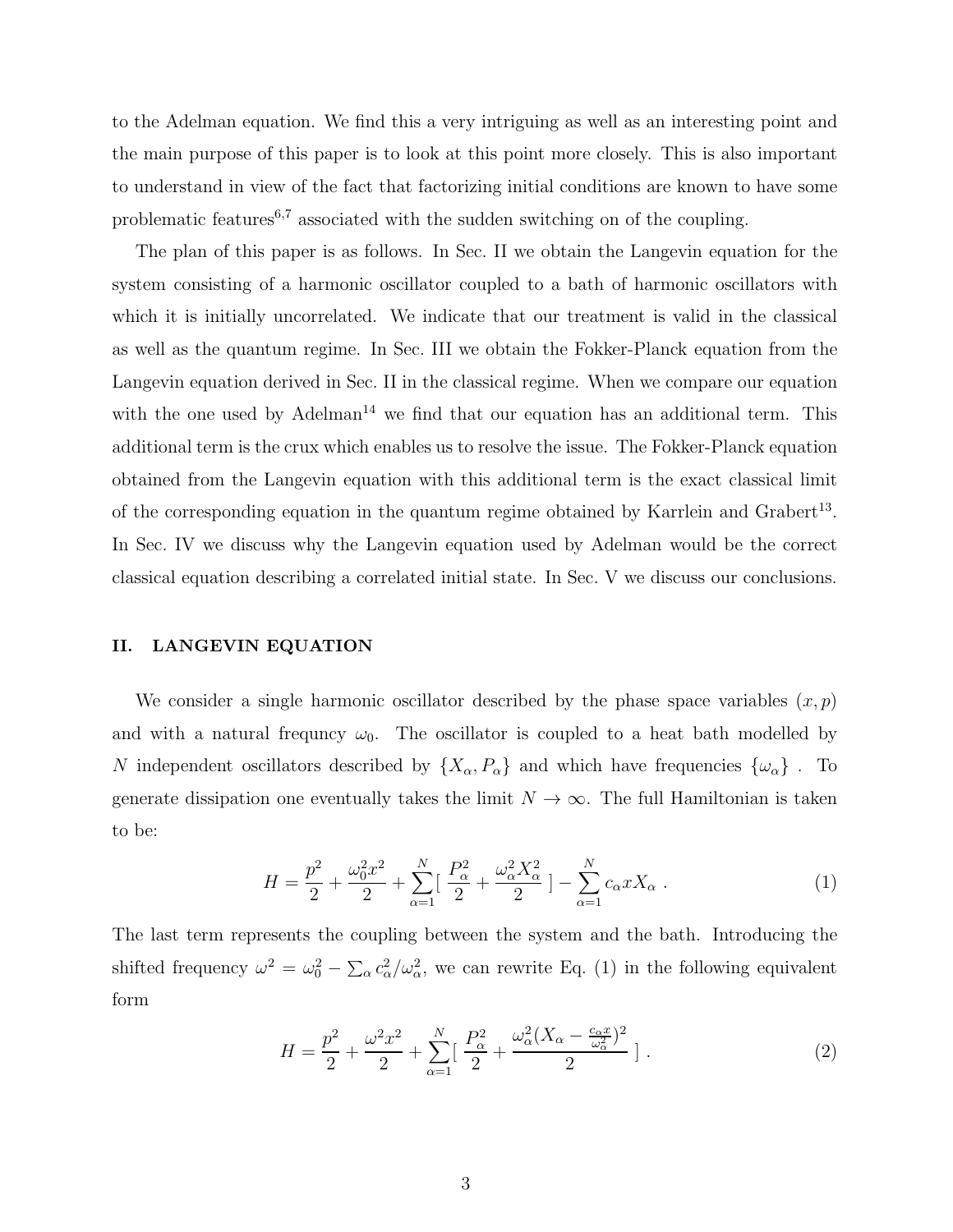to the Adelman equation. We find this a very intriguing as well as an interesting point and the main purpose of this paper is to look at this point more closely. This is also important to understand in view of the fact that factorizing initial conditions are known to have some problematic features<sup>6,7</sup> associated with the sudden switching on of the coupling.

The plan of this paper is as follows. In Sec. II we obtain the Langevin equation for the system consisting of a harmonic oscillator coupled to a bath of harmonic oscillators with which it is initially uncorrelated. We indicate that our treatment is valid in the classical as well as the quantum regime. In Sec. III we obtain the Fokker-Planck equation from the Langevin equation derived in Sec. II in the classical regime. When we compare our equation with the one used by  $\text{Adelman}^{14}$  we find that our equation has an additional term. This additional term is the crux which enables us to resolve the issue. The Fokker-Planck equation obtained from the Langevin equation with this additional term is the exact classical limit of the corresponding equation in the quantum regime obtained by Karrlein and Grabert<sup>13</sup>. In Sec. IV we discuss why the Langevin equation used by Adelman would be the correct classical equation describing a correlated initial state. In Sec. V we discuss our conclusions.

#### II. LANGEVIN EQUATION

We consider a single harmonic oscillator described by the phase space variables  $(x, p)$ and with a natural frequncy  $\omega_0$ . The oscillator is coupled to a heat bath modelled by N independent oscillators described by  $\{X_{\alpha}, P_{\alpha}\}\$  and which have frequencies  $\{\omega_{\alpha}\}\$ . To generate dissipation one eventually takes the limit  $N \to \infty$ . The full Hamiltonian is taken to be:

$$
H = \frac{p^2}{2} + \frac{\omega_0^2 x^2}{2} + \sum_{\alpha=1}^N \left[ \frac{P_\alpha^2}{2} + \frac{\omega_\alpha^2 X_\alpha^2}{2} \right] - \sum_{\alpha=1}^N c_\alpha x X_\alpha \ . \tag{1}
$$

The last term represents the coupling between the system and the bath. Introducing the shifted frequency  $\omega^2 = \omega_0^2 - \sum_{\alpha} c_{\alpha}^2/\omega_{\alpha}^2$ , we can rewrite Eq. (1) in the following equivalent form

$$
H = \frac{p^2}{2} + \frac{\omega^2 x^2}{2} + \sum_{\alpha=1}^{N} \left[ \frac{P_{\alpha}^2}{2} + \frac{\omega_{\alpha}^2 (X_{\alpha} - \frac{c_{\alpha} x}{\omega_{\alpha}^2})^2}{2} \right].
$$
 (2)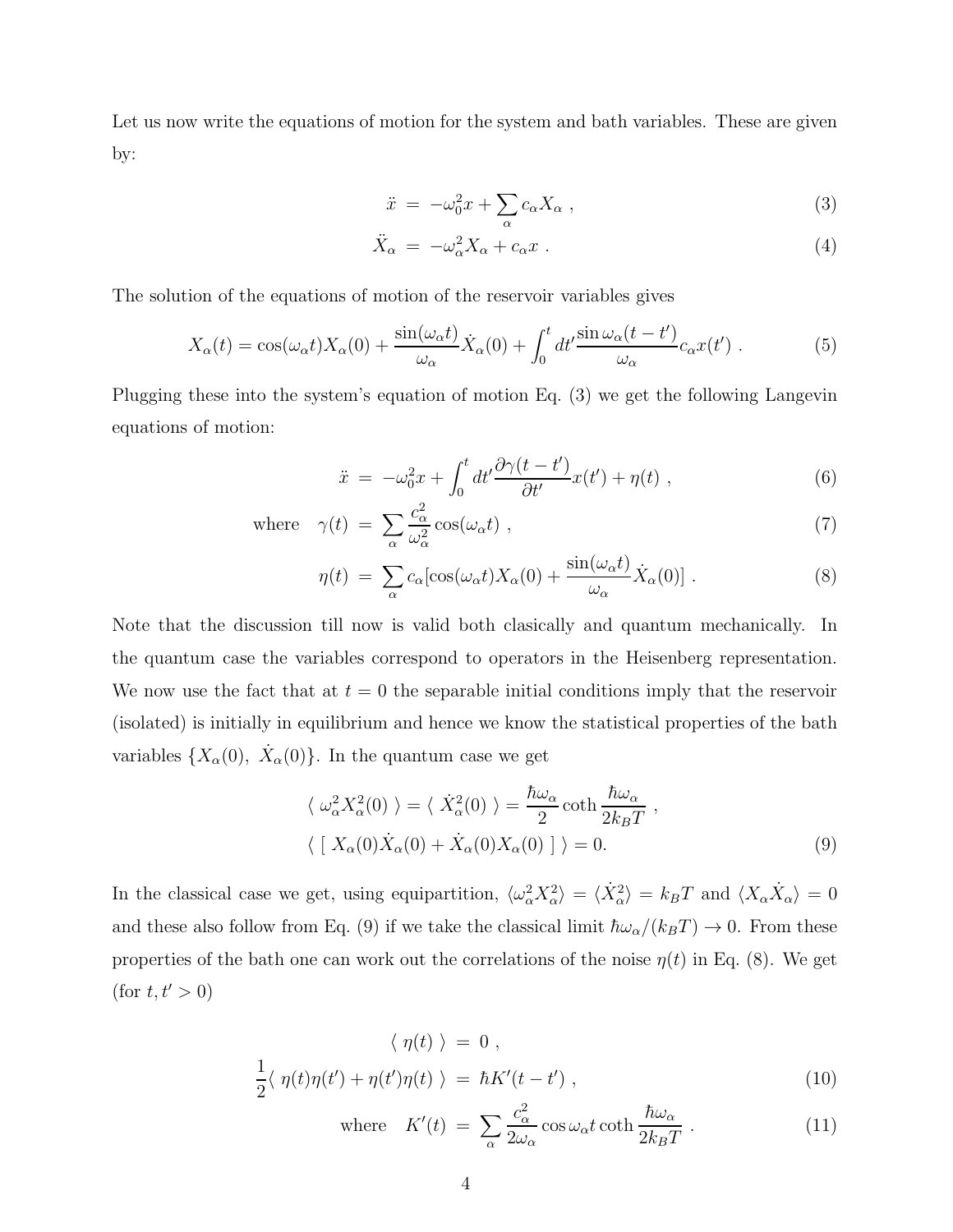Let us now write the equations of motion for the system and bath variables. These are given by:

$$
\ddot{x} = -\omega_0^2 x + \sum_{\alpha} c_{\alpha} X_{\alpha} , \qquad (3)
$$

$$
\ddot{X}_{\alpha} = -\omega_{\alpha}^2 X_{\alpha} + c_{\alpha} x \ . \tag{4}
$$

The solution of the equations of motion of the reservoir variables gives

$$
X_{\alpha}(t) = \cos(\omega_{\alpha}t)X_{\alpha}(0) + \frac{\sin(\omega_{\alpha}t)}{\omega_{\alpha}}\dot{X}_{\alpha}(0) + \int_{0}^{t} dt' \frac{\sin\omega_{\alpha}(t-t')}{\omega_{\alpha}}c_{\alpha}x(t') . \tag{5}
$$

Plugging these into the system's equation of motion Eq. (3) we get the following Langevin equations of motion:

$$
\ddot{x} = -\omega_0^2 x + \int_0^t dt' \frac{\partial \gamma(t - t')}{\partial t'} x(t') + \eta(t) , \qquad (6)
$$

where 
$$
\gamma(t) = \sum_{\alpha} \frac{c_{\alpha}^2}{\omega_{\alpha}^2} \cos(\omega_{\alpha} t)
$$
, (7)

$$
\eta(t) = \sum_{\alpha} c_{\alpha} [\cos(\omega_{\alpha} t) X_{\alpha}(0) + \frac{\sin(\omega_{\alpha} t)}{\omega_{\alpha}} \dot{X}_{\alpha}(0)] . \tag{8}
$$

Note that the discussion till now is valid both clasically and quantum mechanically. In the quantum case the variables correspond to operators in the Heisenberg representation. We now use the fact that at  $t = 0$  the separable initial conditions imply that the reservoir (isolated) is initially in equilibrium and hence we know the statistical properties of the bath variables  $\{X_{\alpha}(0), \dot{X}_{\alpha}(0)\}\$ . In the quantum case we get

$$
\langle \omega_{\alpha}^{2} X_{\alpha}^{2}(0) \rangle = \langle \dot{X}_{\alpha}^{2}(0) \rangle = \frac{\hbar \omega_{\alpha}}{2} \coth \frac{\hbar \omega_{\alpha}}{2k_{B}T} ,
$$
  

$$
\langle [X_{\alpha}(0) \dot{X}_{\alpha}(0) + \dot{X}_{\alpha}(0) X_{\alpha}(0)] \rangle = 0.
$$
 (9)

In the classical case we get, using equipartition,  $\langle \omega_\alpha^2 X_\alpha^2 \rangle = \langle \dot{X}_\alpha^2 \rangle = k_B T$  and  $\langle X_\alpha \dot{X}_\alpha \rangle = 0$ and these also follow from Eq. (9) if we take the classical limit  $\hbar\omega_\alpha/(k_BT) \to 0$ . From these properties of the bath one can work out the correlations of the noise  $\eta(t)$  in Eq. (8). We get  $(\text{for } t, t' > 0)$ 

$$
\langle \eta(t) \rangle = 0 ,
$$
  

$$
\frac{1}{2} \langle \eta(t)\eta(t') + \eta(t')\eta(t) \rangle = \hbar K'(t - t') ,
$$
 (10)

where 
$$
K'(t) = \sum_{\alpha} \frac{c_{\alpha}^2}{2\omega_{\alpha}} \cos \omega_{\alpha} t \coth \frac{\hbar \omega_{\alpha}}{2k_B T}
$$
 (11)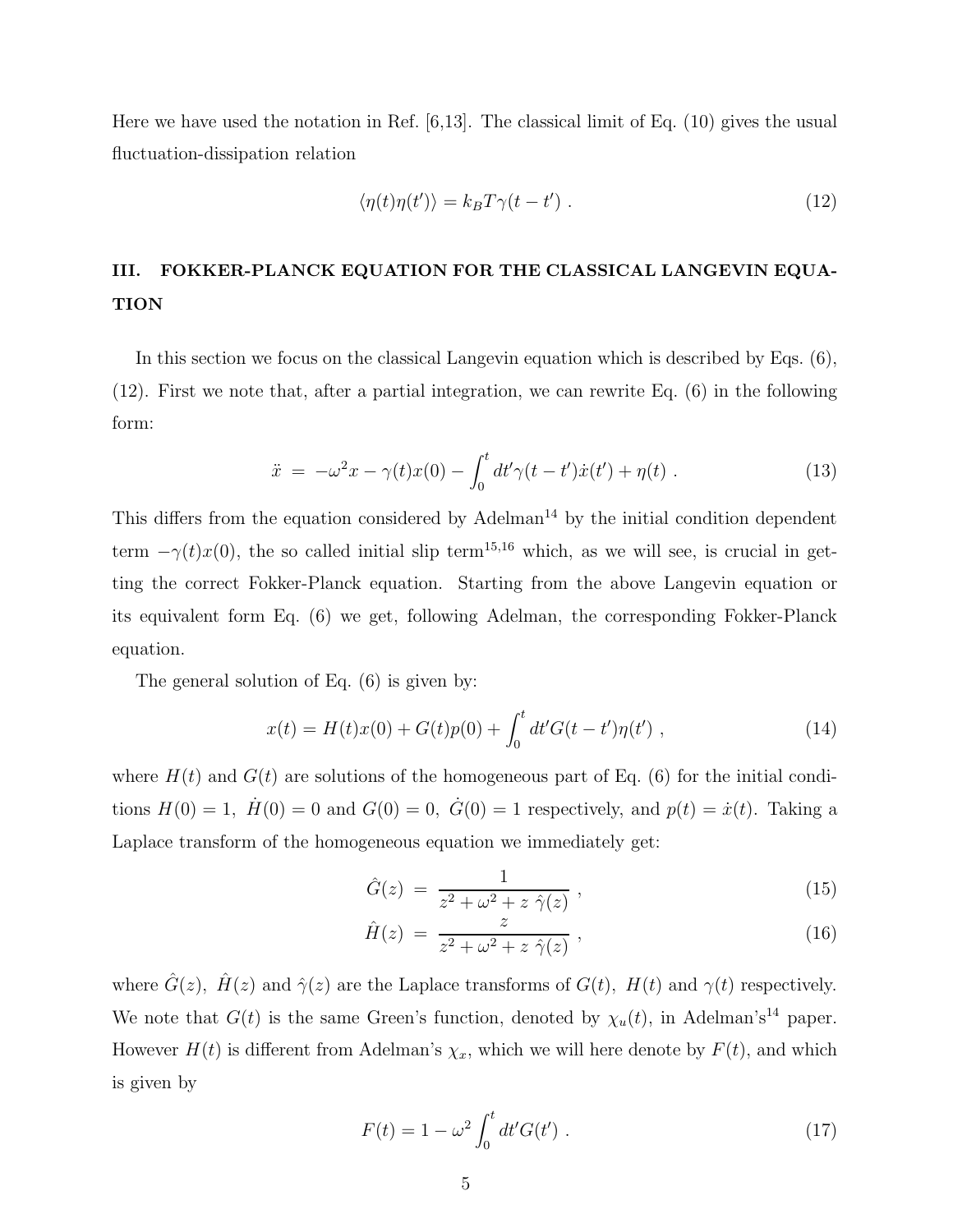Here we have used the notation in Ref. [6,13]. The classical limit of Eq. (10) gives the usual fluctuation-dissipation relation

$$
\langle \eta(t)\eta(t')\rangle = k_B T \gamma(t - t') . \tag{12}
$$

## III. FOKKER-PLANCK EQUATION FOR THE CLASSICAL LANGEVIN EQUA-TION

In this section we focus on the classical Langevin equation which is described by Eqs. (6), (12). First we note that, after a partial integration, we can rewrite Eq. (6) in the following form:

$$
\ddot{x} = -\omega^2 x - \gamma(t)x(0) - \int_0^t dt' \gamma(t - t') \dot{x}(t') + \eta(t) . \qquad (13)
$$

This differs from the equation considered by Adelman<sup>14</sup> by the initial condition dependent term  $-\gamma(t)x(0)$ , the so called initial slip term<sup>15,16</sup> which, as we will see, is crucial in getting the correct Fokker-Planck equation. Starting from the above Langevin equation or its equivalent form Eq. (6) we get, following Adelman, the corresponding Fokker-Planck equation.

The general solution of Eq. (6) is given by:

$$
x(t) = H(t)x(0) + G(t)p(0) + \int_0^t dt' G(t - t')\eta(t'),
$$
\n(14)

where  $H(t)$  and  $G(t)$  are solutions of the homogeneous part of Eq. (6) for the initial conditions  $H(0) = 1$ ,  $\dot{H}(0) = 0$  and  $G(0) = 0$ ,  $\dot{G}(0) = 1$  respectively, and  $p(t) = \dot{x}(t)$ . Taking a Laplace transform of the homogeneous equation we immediately get:

$$
\hat{G}(z) = \frac{1}{z^2 + \omega^2 + z \hat{\gamma}(z)},
$$
\n(15)

$$
\hat{H}(z) = \frac{z}{z^2 + \omega^2 + z \hat{\gamma}(z)},
$$
\n(16)

where  $\hat{G}(z)$ ,  $\hat{H}(z)$  and  $\hat{\gamma}(z)$  are the Laplace transforms of  $G(t)$ ,  $H(t)$  and  $\gamma(t)$  respectively. We note that  $G(t)$  is the same Green's function, denoted by  $\chi_u(t)$ , in Adelman's<sup>14</sup> paper. However  $H(t)$  is different from Adelman's  $\chi_x$ , which we will here denote by  $F(t)$ , and which is given by

$$
F(t) = 1 - \omega^2 \int_0^t dt' G(t') . \qquad (17)
$$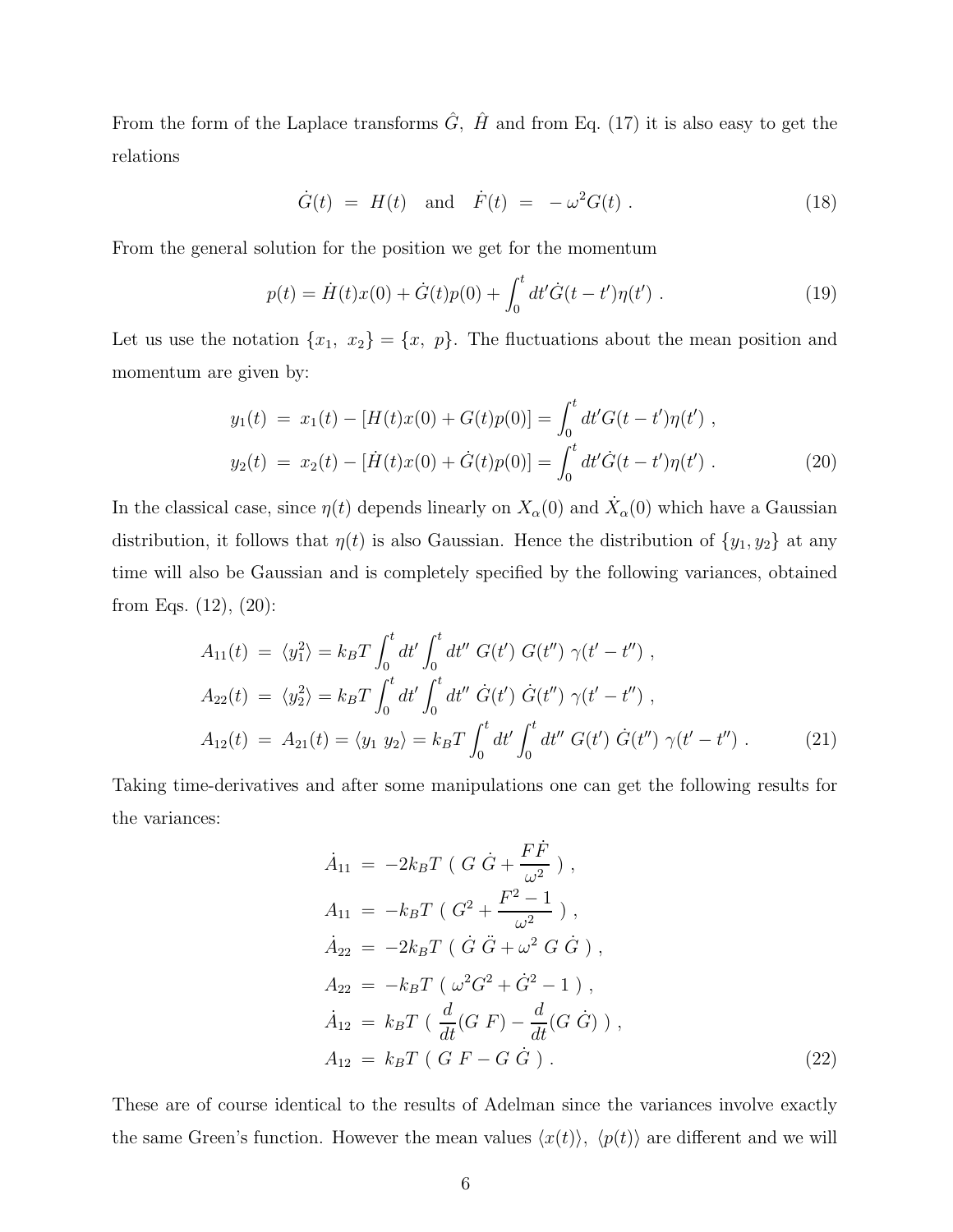From the form of the Laplace transforms  $\hat{G}$ ,  $\hat{H}$  and from Eq. (17) it is also easy to get the relations

$$
\dot{G}(t) = H(t) \text{ and } \dot{F}(t) = -\omega^2 G(t) .
$$
 (18)

From the general solution for the position we get for the momentum

$$
p(t) = \dot{H}(t)x(0) + \dot{G}(t)p(0) + \int_0^t dt' \dot{G}(t - t')\eta(t').
$$
\n(19)

Let us use the notation  $\{x_1, x_2\} = \{x, p\}$ . The fluctuations about the mean position and momentum are given by:

$$
y_1(t) = x_1(t) - [H(t)x(0) + G(t)p(0)] = \int_0^t dt' G(t - t')\eta(t'),
$$
  
\n
$$
y_2(t) = x_2(t) - [\dot{H}(t)x(0) + \dot{G}(t)p(0)] = \int_0^t dt' \dot{G}(t - t')\eta(t').
$$
\n(20)

In the classical case, since  $\eta(t)$  depends linearly on  $X_{\alpha}(0)$  and  $\dot{X}_{\alpha}(0)$  which have a Gaussian distribution, it follows that  $\eta(t)$  is also Gaussian. Hence the distribution of  $\{y_1, y_2\}$  at any time will also be Gaussian and is completely specified by the following variances, obtained from Eqs. (12), (20):

$$
A_{11}(t) = \langle y_1^2 \rangle = k_B T \int_0^t dt' \int_0^t dt'' \ G(t') \ G(t'') \ \gamma(t' - t'') \ ,
$$
  
\n
$$
A_{22}(t) = \langle y_2^2 \rangle = k_B T \int_0^t dt' \int_0^t dt'' \ \dot{G}(t') \ \dot{G}(t'') \ \gamma(t' - t'') \ ,
$$
  
\n
$$
A_{12}(t) = A_{21}(t) = \langle y_1 \ y_2 \rangle = k_B T \int_0^t dt' \int_0^t dt'' \ G(t') \ \dot{G}(t'') \ \gamma(t' - t'') \ .
$$
\n(21)

Taking time-derivatives and after some manipulations one can get the following results for the variances:

$$
\dot{A}_{11} = -2k_B T \left( G \dot{G} + \frac{F \dot{F}}{\omega^2} \right), \nA_{11} = -k_B T \left( G^2 + \frac{F^2 - 1}{\omega^2} \right), \n\dot{A}_{22} = -2k_B T \left( \dot{G} \ddot{G} + \omega^2 G \dot{G} \right), \nA_{22} = -k_B T \left( \omega^2 G^2 + \dot{G}^2 - 1 \right), \n\dot{A}_{12} = k_B T \left( \frac{d}{dt} (G \dot{F}) - \frac{d}{dt} (G \dot{G}) \right), \nA_{12} = k_B T \left( G \dot{F} - G \dot{G} \right).
$$
\n(22)

These are of course identical to the results of Adelman since the variances involve exactly the same Green's function. However the mean values  $\langle x(t) \rangle$ ,  $\langle p(t) \rangle$  are different and we will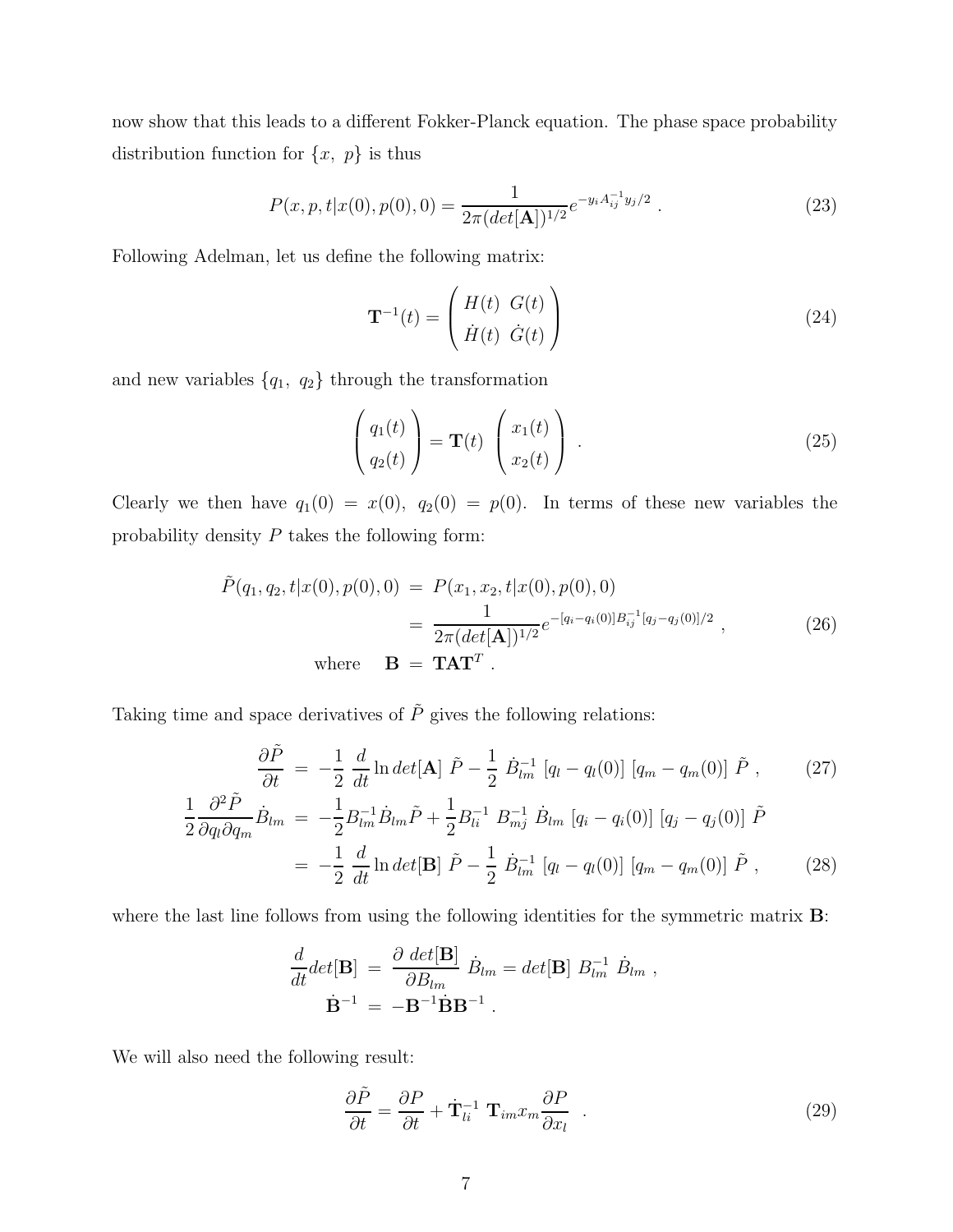now show that this leads to a different Fokker-Planck equation. The phase space probability distribution function for  $\{x, p\}$  is thus

$$
P(x, p, t|x(0), p(0), 0) = \frac{1}{2\pi (det[\mathbf{A}])^{1/2}} e^{-y_i A_{ij}^{-1} y_j/2} .
$$
 (23)

Following Adelman, let us define the following matrix:

$$
\mathbf{T}^{-1}(t) = \begin{pmatrix} H(t) & G(t) \\ \dot{H}(t) & \dot{G}(t) \end{pmatrix}
$$
 (24)

and new variables  $\{q_1, q_2\}$  through the transformation

$$
\begin{pmatrix} q_1(t) \\ q_2(t) \end{pmatrix} = \mathbf{T}(t) \begin{pmatrix} x_1(t) \\ x_2(t) \end{pmatrix} . \tag{25}
$$

Clearly we then have  $q_1(0) = x(0)$ ,  $q_2(0) = p(0)$ . In terms of these new variables the probability density  $P$  takes the following form:

$$
\tilde{P}(q_1, q_2, t | x(0), p(0), 0) = P(x_1, x_2, t | x(0), p(0), 0)
$$
\n
$$
= \frac{1}{2\pi (det[\mathbf{A}])^{1/2}} e^{-[q_i - q_i(0)]B_{ij}^{-1}[q_j - q_j(0)]/2}, \qquad (26)
$$
\nwhere  $\mathbf{B} = \mathbf{T} \mathbf{A} \mathbf{T}^T$ .

Taking time and space derivatives of  $\tilde{P}$  gives the following relations:

$$
\frac{\partial \tilde{P}}{\partial t} = -\frac{1}{2} \frac{d}{dt} \ln det[\mathbf{A}] \tilde{P} - \frac{1}{2} \dot{B}_{lm}^{-1} [q_l - q_l(0)] [q_m - q_m(0)] \tilde{P} , \qquad (27)
$$

$$
\frac{1}{2} \frac{\partial^2 \tilde{P}}{\partial q_l \partial q_m} \dot{B}_{lm} = -\frac{1}{2} B^{-1}_{lm} \dot{B}_{lm} \tilde{P} + \frac{1}{2} B^{-1}_{li} B^{-1}_{mj} \dot{B}_{lm} [q_i - q_i(0)] [q_j - q_j(0)] \tilde{P}
$$
  
= 
$$
-\frac{1}{2} \frac{d}{dt} \ln det[\mathbf{B}] \tilde{P} - \frac{1}{2} \dot{B}^{-1}_{lm} [q_l - q_l(0)] [q_m - q_m(0)] \tilde{P} , \qquad (28)
$$

where the last line follows from using the following identities for the symmetric matrix **B**:

$$
\frac{d}{dt}det[\mathbf{B}] = \frac{\partial det[\mathbf{B}]}{\partial B_{lm}} \dot{B}_{lm} = det[\mathbf{B}] B_{lm}^{-1} \dot{B}_{lm} ,
$$
  

$$
\dot{\mathbf{B}}^{-1} = -\mathbf{B}^{-1} \dot{\mathbf{B}} \mathbf{B}^{-1} .
$$

We will also need the following result:

$$
\frac{\partial \tilde{P}}{\partial t} = \frac{\partial P}{\partial t} + \dot{\mathbf{T}}_{li}^{-1} \mathbf{T}_{im} x_m \frac{\partial P}{\partial x_l} \quad . \tag{29}
$$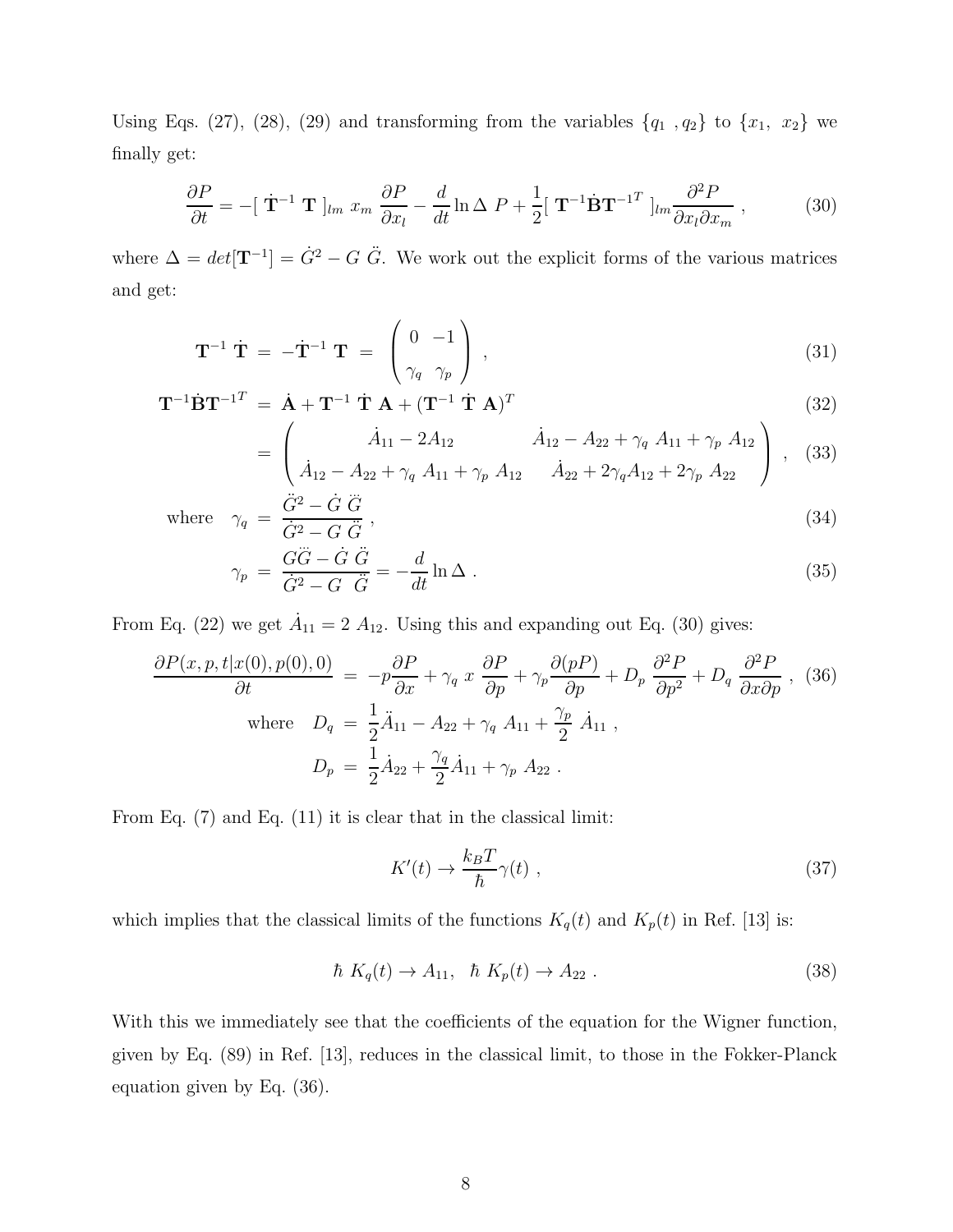Using Eqs. (27), (28), (29) and transforming from the variables  $\{q_1, q_2\}$  to  $\{x_1, x_2\}$  we finally get:

$$
\frac{\partial P}{\partial t} = -[\dot{\mathbf{T}}^{-1} \mathbf{T}]_{lm} x_m \frac{\partial P}{\partial x_l} - \frac{d}{dt} \ln \Delta P + \frac{1}{2} [\mathbf{T}^{-1} \dot{\mathbf{B}} \mathbf{T}^{-1}^T]_{lm} \frac{\partial^2 P}{\partial x_l \partial x_m}, \qquad (30)
$$

where  $\Delta = det[\mathbf{T}^{-1}] = \dot{G}^2 - G \ddot{G}$ . We work out the explicit forms of the various matrices and get:

$$
\mathbf{T}^{-1} \dot{\mathbf{T}} = -\dot{\mathbf{T}}^{-1} \mathbf{T} = \begin{pmatrix} 0 & -1 \\ \gamma_q & \gamma_p \end{pmatrix} , \qquad (31)
$$

$$
\mathbf{T}^{-1}\dot{\mathbf{B}}\mathbf{T}^{-1} = \dot{\mathbf{A}} + \mathbf{T}^{-1}\dot{\mathbf{T}}\mathbf{A} + (\mathbf{T}^{-1}\dot{\mathbf{T}}\mathbf{A})^T
$$
\n(32)

$$
= \begin{pmatrix} \dot{A}_{11} - 2A_{12} & \dot{A}_{12} - A_{22} + \gamma_q A_{11} + \gamma_p A_{12} \\ \dot{A}_{12} - A_{22} + \gamma_q A_{11} + \gamma_p A_{12} & \dot{A}_{22} + 2\gamma_q A_{12} + 2\gamma_p A_{22} \end{pmatrix},
$$
(33)

where 
$$
\gamma_q = \frac{\ddot{G}^2 - \dot{G}\ \ddot{G}}{\dot{G}^2 - G\ \ddot{G}},
$$
\n(34)

$$
\gamma_p = \frac{G\ddot{G} - \dot{G}\ddot{G}}{\dot{G}^2 - G\ddot{G}} = -\frac{d}{dt}\ln\Delta\,. \tag{35}
$$

From Eq. (22) we get  $\dot{A}_{11} = 2 A_{12}$ . Using this and expanding out Eq. (30) gives:

$$
\frac{\partial P(x, p, t|x(0), p(0), 0)}{\partial t} = -p\frac{\partial P}{\partial x} + \gamma_q x \frac{\partial P}{\partial p} + \gamma_p \frac{\partial (pP)}{\partial p} + D_p \frac{\partial^2 P}{\partial p^2} + D_q \frac{\partial^2 P}{\partial x \partial p},
$$
 (36)  
where  $D_q = \frac{1}{2}\ddot{A}_{11} - A_{22} + \gamma_q A_{11} + \frac{\gamma_p}{2}\dot{A}_{11},$   

$$
D_p = \frac{1}{2}\dot{A}_{22} + \frac{\gamma_q}{2}\dot{A}_{11} + \gamma_p A_{22}.
$$

From Eq. (7) and Eq. (11) it is clear that in the classical limit:

$$
K'(t) \to \frac{k_B T}{\hbar} \gamma(t) \tag{37}
$$

which implies that the classical limits of the functions  $K_q(t)$  and  $K_p(t)$  in Ref. [13] is:

$$
\hbar K_q(t) \to A_{11}, \quad \hbar K_p(t) \to A_{22} . \tag{38}
$$

With this we immediately see that the coefficients of the equation for the Wigner function, given by Eq. (89) in Ref. [13], reduces in the classical limit, to those in the Fokker-Planck equation given by Eq. (36).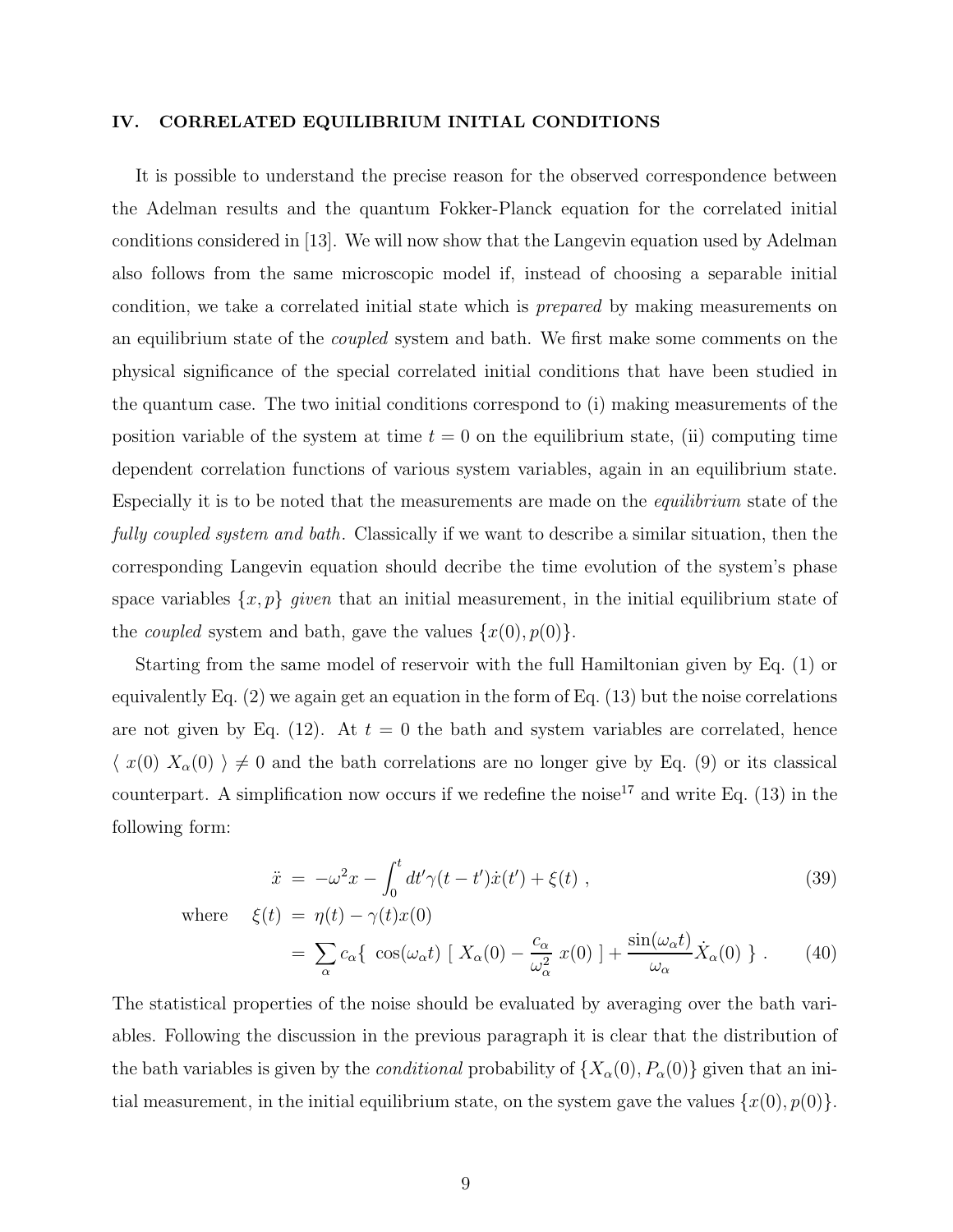#### IV. CORRELATED EQUILIBRIUM INITIAL CONDITIONS

It is possible to understand the precise reason for the observed correspondence between the Adelman results and the quantum Fokker-Planck equation for the correlated initial conditions considered in [13]. We will now show that the Langevin equation used by Adelman also follows from the same microscopic model if, instead of choosing a separable initial condition, we take a correlated initial state which is prepared by making measurements on an equilibrium state of the *coupled* system and bath. We first make some comments on the physical significance of the special correlated initial conditions that have been studied in the quantum case. The two initial conditions correspond to (i) making measurements of the position variable of the system at time  $t = 0$  on the equilibrium state, (ii) computing time dependent correlation functions of various system variables, again in an equilibrium state. Especially it is to be noted that the measurements are made on the equilibrium state of the fully coupled system and bath. Classically if we want to describe a similar situation, then the corresponding Langevin equation should decribe the time evolution of the system's phase space variables  $\{x, p\}$  given that an initial measurement, in the initial equilibrium state of the *coupled* system and bath, gave the values  $\{x(0), p(0)\}.$ 

Starting from the same model of reservoir with the full Hamiltonian given by Eq. (1) or equivalently Eq. (2) we again get an equation in the form of Eq. (13) but the noise correlations are not given by Eq. (12). At  $t = 0$  the bath and system variables are correlated, hence  $\langle x(0) X_{\alpha}(0) \rangle \neq 0$  and the bath correlations are no longer give by Eq. (9) or its classical counterpart. A simplification now occurs if we redefine the noise<sup>17</sup> and write Eq.  $(13)$  in the following form:

$$
\ddot{x} = -\omega^2 x - \int_0^t dt' \gamma(t - t') \dot{x}(t') + \xi(t) , \qquad (39)
$$

where  $\xi(t) = \eta(t) - \gamma(t)x(0)$ 

$$
= \sum_{\alpha} c_{\alpha} \{ \cos(\omega_{\alpha} t) \left[ X_{\alpha}(0) - \frac{c_{\alpha}}{\omega_{\alpha}^2} x(0) \right] + \frac{\sin(\omega_{\alpha} t)}{\omega_{\alpha}} \dot{X}_{\alpha}(0) \} . \tag{40}
$$

The statistical properties of the noise should be evaluated by averaging over the bath variables. Following the discussion in the previous paragraph it is clear that the distribution of the bath variables is given by the *conditional* probability of  $\{X_\alpha(0), P_\alpha(0)\}\$  given that an initial measurement, in the initial equilibrium state, on the system gave the values  $\{x(0), p(0)\}.$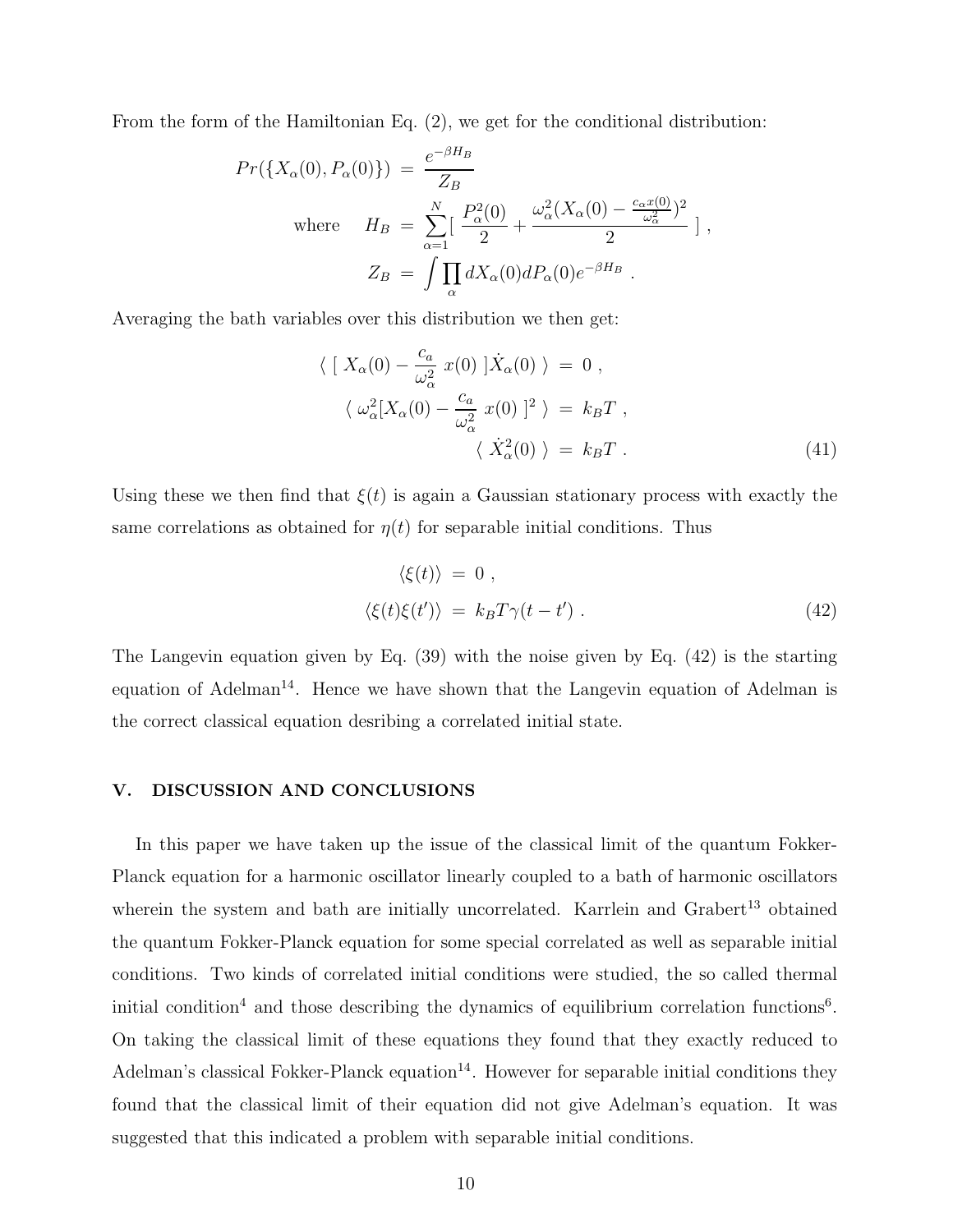From the form of the Hamiltonian Eq. (2), we get for the conditional distribution:

$$
Pr(\lbrace X_{\alpha}(0), P_{\alpha}(0)\rbrace) = \frac{e^{-\beta H_B}}{Z_B}
$$
  
where 
$$
H_B = \sum_{\alpha=1}^{N} \left[ \frac{P_{\alpha}^2(0)}{2} + \frac{\omega_{\alpha}^2 (X_{\alpha}(0) - \frac{c_{\alpha}x(0)}{\omega_{\alpha}^2})^2}{2} \right],
$$

$$
Z_B = \int \prod_{\alpha} dX_{\alpha}(0) dP_{\alpha}(0) e^{-\beta H_B}.
$$

Averaging the bath variables over this distribution we then get:

$$
\langle [X_{\alpha}(0) - \frac{c_a}{\omega_{\alpha}^2} x(0) | \dot{X}_{\alpha}(0) \rangle = 0 ,
$$
  

$$
\langle \omega_{\alpha}^2 [X_{\alpha}(0) - \frac{c_a}{\omega_{\alpha}^2} x(0) |^2 \rangle = k_B T ,
$$
  

$$
\langle \dot{X}_{\alpha}^2(0) \rangle = k_B T .
$$
 (41)

Using these we then find that  $\xi(t)$  is again a Gaussian stationary process with exactly the same correlations as obtained for  $\eta(t)$  for separable initial conditions. Thus

$$
\langle \xi(t) \rangle = 0 ,
$$
  

$$
\langle \xi(t) \xi(t') \rangle = k_B T \gamma(t - t') .
$$
 (42)

The Langevin equation given by Eq. (39) with the noise given by Eq. (42) is the starting equation of Adelman<sup>14</sup>. Hence we have shown that the Langevin equation of Adelman is the correct classical equation desribing a correlated initial state.

#### V. DISCUSSION AND CONCLUSIONS

In this paper we have taken up the issue of the classical limit of the quantum Fokker-Planck equation for a harmonic oscillator linearly coupled to a bath of harmonic oscillators wherein the system and bath are initially uncorrelated. Karrlein and  $G$ rabert<sup>13</sup> obtained the quantum Fokker-Planck equation for some special correlated as well as separable initial conditions. Two kinds of correlated initial conditions were studied, the so called thermal initial condition<sup>4</sup> and those describing the dynamics of equilibrium correlation functions<sup>6</sup>. On taking the classical limit of these equations they found that they exactly reduced to Adelman's classical Fokker-Planck equation<sup>14</sup>. However for separable initial conditions they found that the classical limit of their equation did not give Adelman's equation. It was suggested that this indicated a problem with separable initial conditions.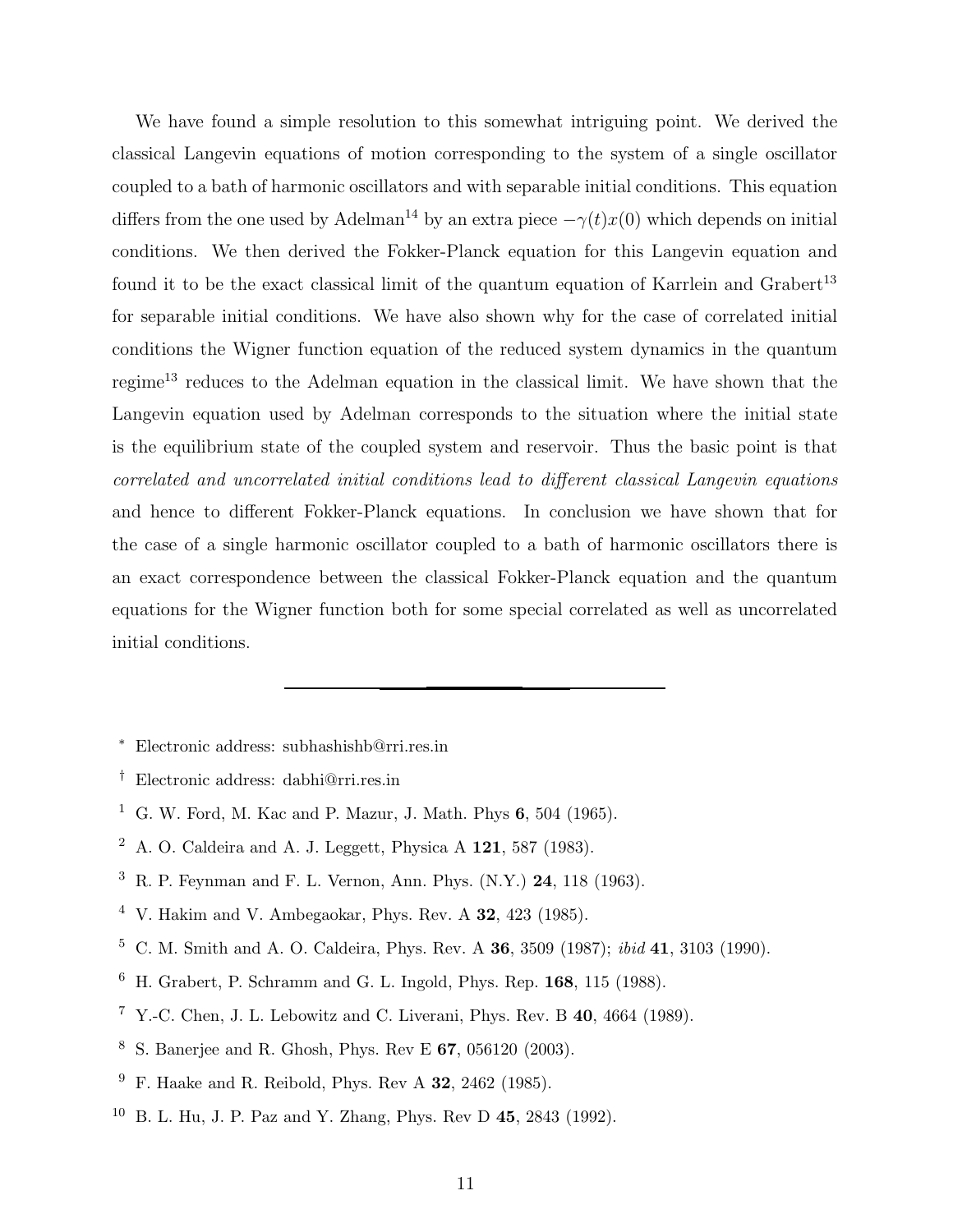We have found a simple resolution to this somewhat intriguing point. We derived the classical Langevin equations of motion corresponding to the system of a single oscillator coupled to a bath of harmonic oscillators and with separable initial conditions. This equation differs from the one used by Adelman<sup>14</sup> by an extra piece  $-\gamma(t)x(0)$  which depends on initial conditions. We then derived the Fokker-Planck equation for this Langevin equation and found it to be the exact classical limit of the quantum equation of Karrlein and Grabert<sup>13</sup> for separable initial conditions. We have also shown why for the case of correlated initial conditions the Wigner function equation of the reduced system dynamics in the quantum regime<sup>13</sup> reduces to the Adelman equation in the classical limit. We have shown that the Langevin equation used by Adelman corresponds to the situation where the initial state is the equilibrium state of the coupled system and reservoir. Thus the basic point is that correlated and uncorrelated initial conditions lead to different classical Langevin equations and hence to different Fokker-Planck equations. In conclusion we have shown that for the case of a single harmonic oscillator coupled to a bath of harmonic oscillators there is an exact correspondence between the classical Fokker-Planck equation and the quantum equations for the Wigner function both for some special correlated as well as uncorrelated initial conditions.

- <sup>∗</sup> Electronic address: subhashishb@rri.res.in
- † Electronic address: dabhi@rri.res.in
- <sup>1</sup> G. W. Ford, M. Kac and P. Mazur, J. Math. Phys  $6, 504$  (1965).
- <sup>2</sup> A. O. Caldeira and A. J. Leggett, Physica A  $121$ , 587 (1983).
- <sup>3</sup> R. P. Feynman and F. L. Vernon, Ann. Phys.  $(N.Y.)$  **24**, 118 (1963).
- $4$  V. Hakim and V. Ambegaokar, Phys. Rev. A 32, 423 (1985).
- <sup>5</sup> C. M. Smith and A. O. Caldeira, Phys. Rev. A 36, 3509 (1987); ibid 41, 3103 (1990).
- <sup>6</sup> H. Grabert, P. Schramm and G. L. Ingold, Phys. Rep. 168, 115 (1988).
- <sup>7</sup> Y.-C. Chen, J. L. Lebowitz and C. Liverani, Phys. Rev. B  $40, 4664$  (1989).
- <sup>8</sup> S. Banerjee and R. Ghosh, Phys. Rev E 67, 056120 (2003).
- <sup>9</sup> F. Haake and R. Reibold, Phys. Rev A **32**, 2462 (1985).
- <sup>10</sup> B. L. Hu, J. P. Paz and Y. Zhang, Phys. Rev D 45, 2843 (1992).